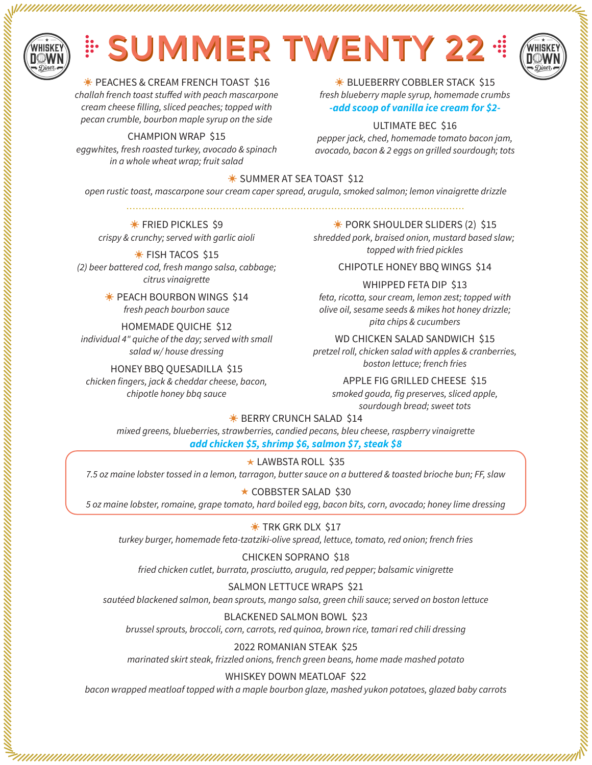

alaman kerang mengan di pertaman pertama pertaman pertama pertaman pertaman pertaman pertaman pertaman pertama

# **EN SUMMER TWENTY 22 STATES**



a da a compositor de la compositor de la compositor de la compositor de la compositor de la compositor de la c

**EXAMPLE AS CREAM FRENCH TOAST \$16** challah french toast stuffed with peach mascarpone cream cheese filling, sliced peaches; topped with

#### pecan crumble, bourbon maple syrup on the side CHAMPION WRAP \$15

eggwhites, fresh roasted turkey, avocado & spinach in a whole wheat wrap; fruit salad

 $*$  **BLUEBERRY COBBLER STACK \$15** fresh blueberry maple syrup, homemade crumbs *-add scoop of vanilla ice cream for \$2-*

#### ULTIMATE BEC \$16

pepper jack, ched, homemade tomato bacon jam, avocado, bacon & 2 eggs on grilled sourdough; tots

## ☀ SUMMER AT SEA TOAST \$12

open rustic toast, mascarpone sour cream caper spread, arugula, smoked salmon; lemon vinaigrette drizzle  $\n$ 

 $*$  **FRIED PICKLES \$9** crispy & crunchy; served with garlic aioli

(2) beer battered cod, fresh mango salsa, cabbage; citrus vinaigrette

> **EXECUTE BOURBON WINGS \$14** fresh peach bourbon sauce

individual 4" quiche of the day; served with small salad w/ house dressing

chicken fingers, jack & cheddar cheese, bacon, chipotle honey bbq sauce

 $*$  **PORK SHOULDER SLIDERS (2) \$15** 

shredded pork, braised onion, mustard based slaw;  $*$  FISH TACOS \$15

CHIPOTLE HONEY BBQ WINGS \$14

WHIPPED FETA DIP \$13

feta, ricotta, sour cream, lemon zest; topped with olive oil, sesame seeds & mikes hot honey drizzle; pita chips & cucumbers HOMEMADE QUICHE \$12

WD CHICKEN SALAD SANDWICH \$15

pretzel roll, chicken salad with apples & cranberries, boston lettuce; french fries HONEY BBQ QUESADILLA \$15

APPLE FIG GRILLED CHEESE \$15

smoked gouda, fig preserves, sliced apple, sourdough bread; sweet tots

**EXAMPLE AND SERRY CRUNCH SALAD \$14** 

mixed greens, blueberries, strawberries, candied pecans, bleu cheese, raspberry vinaigrette *add chicken \$5, shrimp \$6, salmon \$7, steak \$8*

§ LAWBSTA ROLL \$35 7.5 oz maine lobster tossed in a lemon, tarragon, butter sauce on a buttered & toasted brioche bun; FF, slaw

★ COBBSTER SALAD \$30 5 oz maine lobster, romaine, grape tomato, hard boiled egg, bacon bits, corn, avocado; honey lime dressing

### $*$  TRK GRK DLX \$17

turkey burger, homemade feta-tzatziki-olive spread, lettuce, tomato, red onion; french fries

CHICKEN SOPRANO \$18 fried chicken cutlet, burrata, prosciutto, arugula, red pepper; balsamic vinigrette

SALMON LETTUCE WRAPS \$21 sautéed blackened salmon, bean sprouts, mango salsa, green chili sauce; served on boston lettuce

BLACKENED SALMON BOWL \$23 brussel sprouts, broccoli, corn, carrots, red quinoa, brown rice, tamari red chili dressing

2022 ROMANIAN STEAK \$25 marinated skirt steak, frizzled onions, french green beans, home made mashed potato

#### WHISKEY DOWN MEATLOAF \$22

bacon wrapped meatloaf topped with a maple bourbon glaze, mashed yukon potatoes, glazed baby carrots